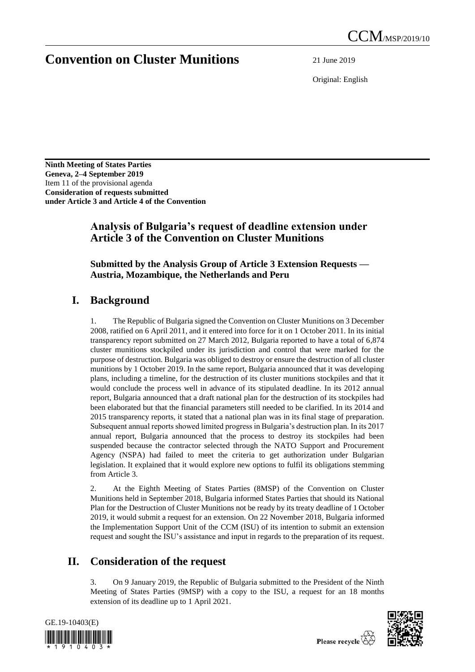# **Convention on Cluster Munitions** 21 June 2019

Original: English

**Ninth Meeting of States Parties Geneva, 2–4 September 2019** Item 11 of the provisional agenda **Consideration of requests submitted under Article 3 and Article 4 of the Convention**

### **Analysis of Bulgaria's request of deadline extension under Article 3 of the Convention on Cluster Munitions**

#### **Submitted by the Analysis Group of Article 3 Extension Requests — Austria, Mozambique, the Netherlands and Peru**

### **I. Background**

1. The Republic of Bulgaria signed the Convention on Cluster Munitions on 3 December 2008, ratified on 6 April 2011, and it entered into force for it on 1 October 2011. In its initial transparency report submitted on 27 March 2012, Bulgaria reported to have a total of 6,874 cluster munitions stockpiled under its jurisdiction and control that were marked for the purpose of destruction. Bulgaria was obliged to destroy or ensure the destruction of all cluster munitions by 1 October 2019. In the same report, Bulgaria announced that it was developing plans, including a timeline, for the destruction of its cluster munitions stockpiles and that it would conclude the process well in advance of its stipulated deadline. In its 2012 annual report, Bulgaria announced that a draft national plan for the destruction of its stockpiles had been elaborated but that the financial parameters still needed to be clarified. In its 2014 and 2015 transparency reports, it stated that a national plan was in its final stage of preparation. Subsequent annual reports showed limited progress in Bulgaria's destruction plan. In its 2017 annual report, Bulgaria announced that the process to destroy its stockpiles had been suspended because the contractor selected through the NATO Support and Procurement Agency (NSPA) had failed to meet the criteria to get authorization under Bulgarian legislation. It explained that it would explore new options to fulfil its obligations stemming from Article 3.

2. At the Eighth Meeting of States Parties (8MSP) of the Convention on Cluster Munitions held in September 2018, Bulgaria informed States Parties that should its National Plan for the Destruction of Cluster Munitions not be ready by its treaty deadline of 1 October 2019, it would submit a request for an extension. On 22 November 2018, Bulgaria informed the Implementation Support Unit of the CCM (ISU) of its intention to submit an extension request and sought the ISU's assistance and input in regards to the preparation of its request.

## **II. Consideration of the request**

3. On 9 January 2019, the Republic of Bulgaria submitted to the President of the Ninth Meeting of States Parties (9MSP) with a copy to the ISU, a request for an 18 months extension of its deadline up to 1 April 2021.



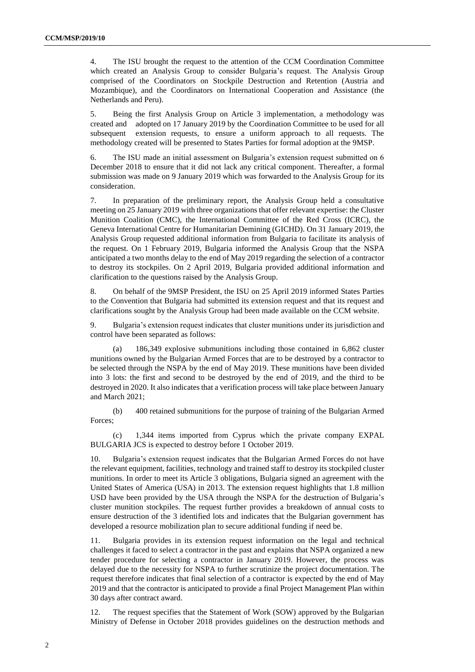4. The ISU brought the request to the attention of the CCM Coordination Committee which created an Analysis Group to consider Bulgaria's request. The Analysis Group comprised of the Coordinators on Stockpile Destruction and Retention (Austria and Mozambique), and the Coordinators on International Cooperation and Assistance (the Netherlands and Peru).

5. Being the first Analysis Group on Article 3 implementation, a methodology was created and adopted on 17 January 2019 by the Coordination Committee to be used for all subsequent extension requests, to ensure a uniform approach to all requests. The methodology created will be presented to States Parties for formal adoption at the 9MSP.

6. The ISU made an initial assessment on Bulgaria's extension request submitted on 6 December 2018 to ensure that it did not lack any critical component. Thereafter, a formal submission was made on 9 January 2019 which was forwarded to the Analysis Group for its consideration.

7. In preparation of the preliminary report, the Analysis Group held a consultative meeting on 25 January 2019 with three organizations that offer relevant expertise: the Cluster Munition Coalition (CMC), the International Committee of the Red Cross (ICRC), the Geneva International Centre for Humanitarian Demining (GICHD). On 31 January 2019, the Analysis Group requested additional information from Bulgaria to facilitate its analysis of the request. On 1 February 2019, Bulgaria informed the Analysis Group that the NSPA anticipated a two months delay to the end of May 2019 regarding the selection of a contractor to destroy its stockpiles. On 2 April 2019, Bulgaria provided additional information and clarification to the questions raised by the Analysis Group.

8. On behalf of the 9MSP President, the ISU on 25 April 2019 informed States Parties to the Convention that Bulgaria had submitted its extension request and that its request and clarifications sought by the Analysis Group had been made available on the CCM website.

9. Bulgaria's extension request indicates that cluster munitions under its jurisdiction and control have been separated as follows:

(a) 186,349 explosive submunitions including those contained in 6,862 cluster munitions owned by the Bulgarian Armed Forces that are to be destroyed by a contractor to be selected through the NSPA by the end of May 2019. These munitions have been divided into 3 lots: the first and second to be destroyed by the end of 2019, and the third to be destroyed in 2020. It also indicates that a verification process will take place between January and March 2021;

(b) 400 retained submunitions for the purpose of training of the Bulgarian Armed Forces;

(c) 1,344 items imported from Cyprus which the private company EXPAL BULGARIA JCS is expected to destroy before 1 October 2019.

10. Bulgaria's extension request indicates that the Bulgarian Armed Forces do not have the relevant equipment, facilities, technology and trained staff to destroy its stockpiled cluster munitions. In order to meet its Article 3 obligations, Bulgaria signed an agreement with the United States of America (USA) in 2013. The extension request highlights that 1.8 million USD have been provided by the USA through the NSPA for the destruction of Bulgaria's cluster munition stockpiles. The request further provides a breakdown of annual costs to ensure destruction of the 3 identified lots and indicates that the Bulgarian government has developed a resource mobilization plan to secure additional funding if need be.

11. Bulgaria provides in its extension request information on the legal and technical challenges it faced to select a contractor in the past and explains that NSPA organized a new tender procedure for selecting a contractor in January 2019. However, the process was delayed due to the necessity for NSPA to further scrutinize the project documentation. The request therefore indicates that final selection of a contractor is expected by the end of May 2019 and that the contractor is anticipated to provide a final Project Management Plan within 30 days after contract award.

12. The request specifies that the Statement of Work (SOW) approved by the Bulgarian Ministry of Defense in October 2018 provides guidelines on the destruction methods and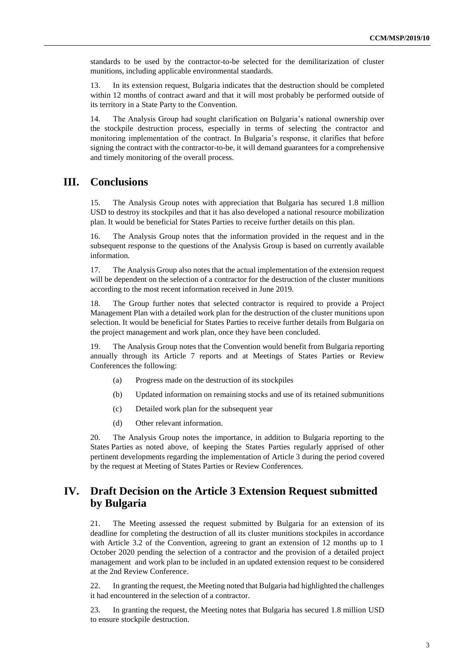standards to be used by the contractor-to-be selected for the demilitarization of cluster munitions, including applicable environmental standards.

13. In its extension request, Bulgaria indicates that the destruction should be completed within 12 months of contract award and that it will most probably be performed outside of its territory in a State Party to the Convention.

14. The Analysis Group had sought clarification on Bulgaria's national ownership over the stockpile destruction process, especially in terms of selecting the contractor and monitoring implementation of the contract. In Bulgaria's response, it clarifies that before signing the contract with the contractor-to-be, it will demand guarantees for a comprehensive and timely monitoring of the overall process.

### **III. Conclusions**

15. The Analysis Group notes with appreciation that Bulgaria has secured 1.8 million USD to destroy its stockpiles and that it has also developed a national resource mobilization plan. It would be beneficial for States Parties to receive further details on this plan.

16. The Analysis Group notes that the information provided in the request and in the subsequent response to the questions of the Analysis Group is based on currently available information.

17. The Analysis Group also notes that the actual implementation of the extension request will be dependent on the selection of a contractor for the destruction of the cluster munitions according to the most recent information received in June 2019.

18. The Group further notes that selected contractor is required to provide a Project Management Plan with a detailed work plan for the destruction of the cluster munitions upon selection. It would be beneficial for States Parties to receive further details from Bulgaria on the project management and work plan, once they have been concluded.

19. The Analysis Group notes that the Convention would benefit from Bulgaria reporting annually through its Article 7 reports and at Meetings of States Parties or Review Conferences the following:

- (a) Progress made on the destruction of its stockpiles
- (b) Updated information on remaining stocks and use of its retained submunitions
- (c) Detailed work plan for the subsequent year
- (d) Other relevant information.

20. The Analysis Group notes the importance, in addition to Bulgaria reporting to the States Parties as noted above, of keeping the States Parties regularly apprised of other pertinent developments regarding the implementation of Article 3 during the period covered by the request at Meeting of States Parties or Review Conferences.

#### **IV. Draft Decision on the Article 3 Extension Request submitted by Bulgaria**

21. The Meeting assessed the request submitted by Bulgaria for an extension of its deadline for completing the destruction of all its cluster munitions stockpiles in accordance with Article 3.2 of the Convention, agreeing to grant an extension of 12 months up to 1 October 2020 pending the selection of a contractor and the provision of a detailed project management and work plan to be included in an updated extension request to be considered at the 2nd Review Conference.

22. In granting the request, the Meeting noted that Bulgaria had highlighted the challenges it had encountered in the selection of a contractor.

23. In granting the request, the Meeting notes that Bulgaria has secured 1.8 million USD to ensure stockpile destruction.